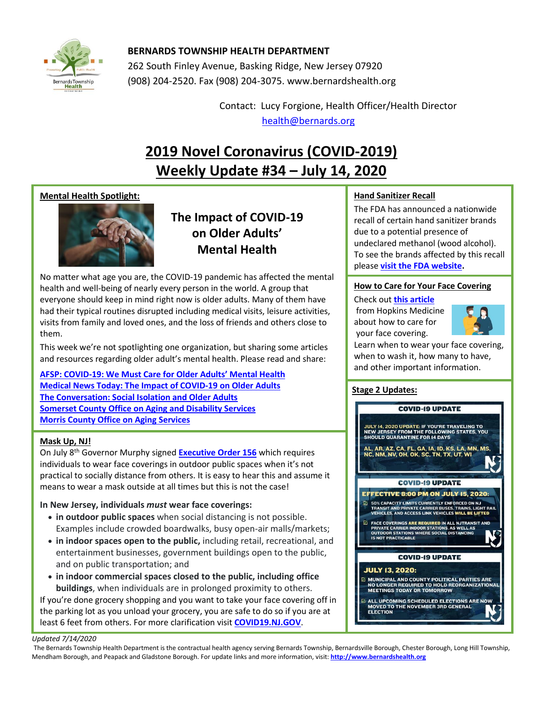

## **BERNARDS TOWNSHIP HEALTH DEPARTMENT**

262 South Finley Avenue, Basking Ridge, New Jersey 07920 (908) 204-2520. Fax (908) 204-3075[. www.bernardshealth.org](http://www.bernardshealth.org/)

> Contact: Lucy Forgione, Health Officer/Health Director [health@bernards.org](mailto:health@bernards.org)

# **2019 Novel Coronavirus (COVID-2019) Weekly Update #34 – July 14, 2020**

## **Mental Health Spotlight:**



**The Impact of COVID-19 on Older Adults' Mental Health**

No matter what age you are, the COVID-19 pandemic has affected the mental health and well-being of nearly every person in the world. A group that everyone should keep in mind right now is older adults. Many of them have had their typical routines disrupted including medical visits, leisure activities, visits from family and loved ones, and the loss of friends and others close to them.

This week we're not spotlighting one organization, but sharing some articles and resources regarding older adult's mental health. Please read and share:

**[AFSP: COVID-19: We Must Care for Older Adults](https://afsp.org/story/covid-19-we-must-care-for-older-adults-mental-health)' Mental Health [Medical News Today: The Impact of COVID-19 on Older Adults](https://www.medicalnewstoday.com/articles/the-impact-of-the-covid-19-pandemic-on-older-adults) [The Conversation: Social Isolation and Older Adults](https://theconversation.com/social-isolation-the-covid-19-pandemics-hidden-health-risk-for-older-adults-and-how-to-manage-it-141277) [Somerset County Office on Aging and Disability Services](https://www.co.somerset.nj.us/government/human-services/aging-disability-services) [Morris County Office on Aging Services](https://hs.morriscountynj.gov/adv/aging/)**

## **Mask Up, NJ!**

On July 8th Governor Murphy signed **[Executive Order 156](https://covid19.nj.gov/faqs/announcements/all-announcements/governor-murphy-signs-executive-order-requiring-individuals-to-wear-masks-in-outdoor-public-spaces-when-they-cannot-social-distance)** which requires individuals to wear face coverings in outdoor public spaces when it's not practical to socially distance from others. It is easy to hear this and assume it means to wear a mask outside at all times but this is not the case!

## **In New Jersey, individuals** *must* **wear face coverings:**

- **in outdoor public spaces** when social distancing is not possible. Examples include crowded boardwalks, busy open-air malls/markets;
- **in indoor spaces open to the public,** including retail, recreational, and entertainment businesses, government buildings open to the public, and on public transportation; and
- **in indoor commercial spaces closed to the public, including office buildings**, when individuals are in prolonged proximity to others. If you're done grocery shopping and you want to take your face covering off in the parking lot as you unload your grocery, you are safe to do so if you are at least 6 feet from others. For more clarification visit **[COVID19.NJ.GOV](https://covid19.nj.gov/faqs/nj-information/how-to-minimize-your-risk/should-i-wear-a-mask-to-stop-the-spread-of-covid-19)**.

## **Hand Sanitizer Recall**

The FDA has announced a nationwide recall of certain hand sanitizer brands due to a potential presence of undeclared methanol (wood alcohol). To see the brands affected by this recall please **[visit the FDA website.](https://www.fda.gov/safety/recalls-market-withdrawals-safety-alerts/4e-brands-north-america-issues-nationwide-voluntary-recall-hand-sanitizer-due-potential-presence)**

### **How to Care for Your Face Covering**

Check out **[this article](https://www.hopkinsmedicine.org/health/conditions-and-diseases/coronavirus/coronavirus-how-to-care-for-your-face-mask)** from Hopkins Medicine about how to care for your face covering.



Learn when to wear your face covering, when to wash it, how many to have, and other important information.

## **Stage 2 Updates:**



#### *Updated 7/14/2020*

The Bernards Township Health Department is the contractual health agency serving Bernards Township, Bernardsville Borough, Chester Borough, Long Hill Township, Mendham Borough, and Peapack and Gladstone Borough. For update links and more information, visit: **[http://www.bernardshealth.org](http://www.bernardshealth.org/)**